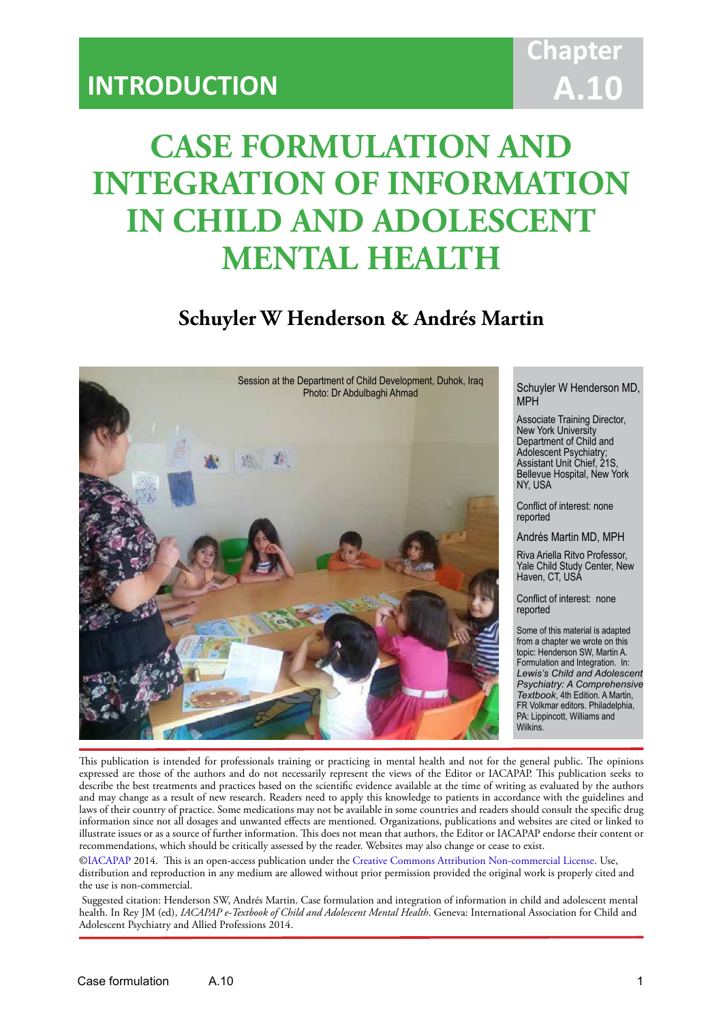## **Chapter A.10**

# **CASE FORMULATION AND INTEGRATION OF INFORMATION IN CHILD AND ADOLESCENT MENTAL HEALTH**

IACAPAP Textbook of Child and Adolescent Mental Health

### **Schuyler W Henderson & Andrés Martin**



MPH

Associate Training Director, New York University Department of Child and Adolescent Psychiatry; Assistant Unit Chief, 21S, Bellevue Hospital, New York NY, USA

Conflict of interest: none reported

Andrés Martin MD, MPH

Riva Ariella Ritvo Professor, Yale Child Study Center, New Haven, CT, USA

Conflict of interest: none reported

Some of this material is adapted from a chapter we wrote on this topic: Henderson SW, Martin A. Formulation and Integration. In: *Lewis's Child and Adolescent Psychiatry: A Comprehensive Textbook*, 4th Edition. A Martin, FR Volkmar editors. Philadelphia, PA: Lippincott, Williams and **Wilkins** 

This publication is intended for professionals training or practicing in mental health and not for the general public. The opinions expressed are those of the authors and do not necessarily represent the views of the Editor or IACAPAP. This publication seeks to describe the best treatments and practices based on the scientific evidence available at the time of writing as evaluated by the authors and may change as a result of new research. Readers need to apply this knowledge to patients in accordance with the guidelines and laws of their country of practice. Some medications may not be available in some countries and readers should consult the specific drug information since not all dosages and unwanted effects are mentioned. Organizations, publications and websites are cited or linked to illustrate issues or as a source of further information. This does not mean that authors, the Editor or IACAPAP endorse their content or recommendations, which should be critically assessed by the reader. Websites may also change or cease to exist.

[©IACAPAP](http://iacapap.org/) 2014. This is an open-access publication under the [Creative Commons Attribution Non-commercial License](http://creativecommons.org/licenses/by-nc/2.0/). Use, distribution and reproduction in any medium are allowed without prior permission provided the original work is properly cited and the use is non-commercial.

 Suggested citation: Henderson SW, Andrés Martin. Case formulation and integration of information in child and adolescent mental health. In Rey JM (ed), *IACAPAP e-Textbook of Child and Adolescent Mental Health*. Geneva: International Association for Child and Adolescent Psychiatry and Allied Professions 2014.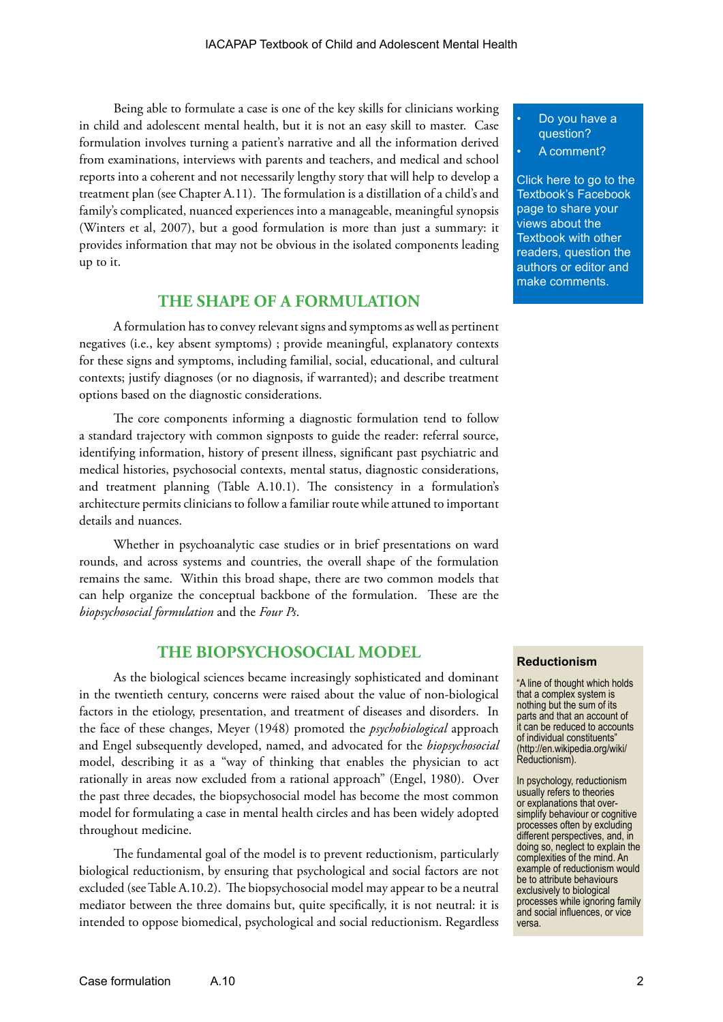Being able to formulate a case is one of the key skills for clinicians working in child and adolescent mental health, but it is not an easy skill to master. Case formulation involves turning a patient's narrative and all the information derived from examinations, interviews with parents and teachers, and medical and school reports into a coherent and not necessarily lengthy story that will help to develop a treatment plan (see Chapter A.11). The formulation is a distillation of a child's and family's complicated, nuanced experiences into a manageable, meaningful synopsis (Winters et al, 2007), but a good formulation is more than just a summary: it provides information that may not be obvious in the isolated components leading up to it.

#### **THE SHAPE OF A FORMULATION**

A formulation has to convey relevant signs and symptoms as well as pertinent negatives (i.e., key absent symptoms) ; provide meaningful, explanatory contexts for these signs and symptoms, including familial, social, educational, and cultural contexts; justify diagnoses (or no diagnosis, if warranted); and describe treatment options based on the diagnostic considerations.

The core components informing a diagnostic formulation tend to follow a standard trajectory with common signposts to guide the reader: referral source, identifying information, history of present illness, significant past psychiatric and medical histories, psychosocial contexts, mental status, diagnostic considerations, and treatment planning (Table A.10.1). The consistency in a formulation's architecture permits clinicians to follow a familiar route while attuned to important details and nuances.

Whether in psychoanalytic case studies or in brief presentations on ward rounds, and across systems and countries, the overall shape of the formulation remains the same. Within this broad shape, there are two common models that can help organize the conceptual backbone of the formulation. These are the *biopsychosocial formulation* and the *Four Ps*.

#### **THE BIOPSYCHOSOCIAL MODEL**

As the biological sciences became increasingly sophisticated and dominant in the twentieth century, concerns were raised about the value of non-biological factors in the etiology, presentation, and treatment of diseases and disorders. In the face of these changes, Meyer (1948) promoted the *psychobiological* approach and Engel subsequently developed, named, and advocated for the *biopsychosocial* model, describing it as a "way of thinking that enables the physician to act rationally in areas now excluded from a rational approach" (Engel, 1980). Over the past three decades, the biopsychosocial model has become the most common model for formulating a case in mental health circles and has been widely adopted throughout medicine.

The fundamental goal of the model is to prevent reductionism, particularly biological reductionism, by ensuring that psychological and social factors are not excluded (see Table A.10.2). The biopsychosocial model may appear to be a neutral mediator between the three domains but, quite specifically, it is not neutral: it is intended to oppose biomedical, psychological and social reductionism. Regardless

#### • Do you have a question?

A comment?

[Click here to go to the](https://www.facebook.com/pages/IACAPAP-Textbook-of-Child-and-Adolescent-Mental-Health/249690448525378)  Textbook's Facebook page to share your views about the Textbook with other readers, question the authors or editor and make comments.

#### **Reductionism**

"A line of thought which holds that a complex system is nothing but the sum of its parts and that an account of it can be reduced to accounts of individual constituents" (http://en.wikipedia.org/wiki/ Reductionism).

In psychology, reductionism usually refers to theories or explanations that oversimplify behaviour or cognitive processes often by excluding different perspectives, and, in doing so, neglect to explain the complexities of the mind. An example of reductionism would be to attribute behaviours exclusively to biological processes while ignoring family and social influences, or vice versa.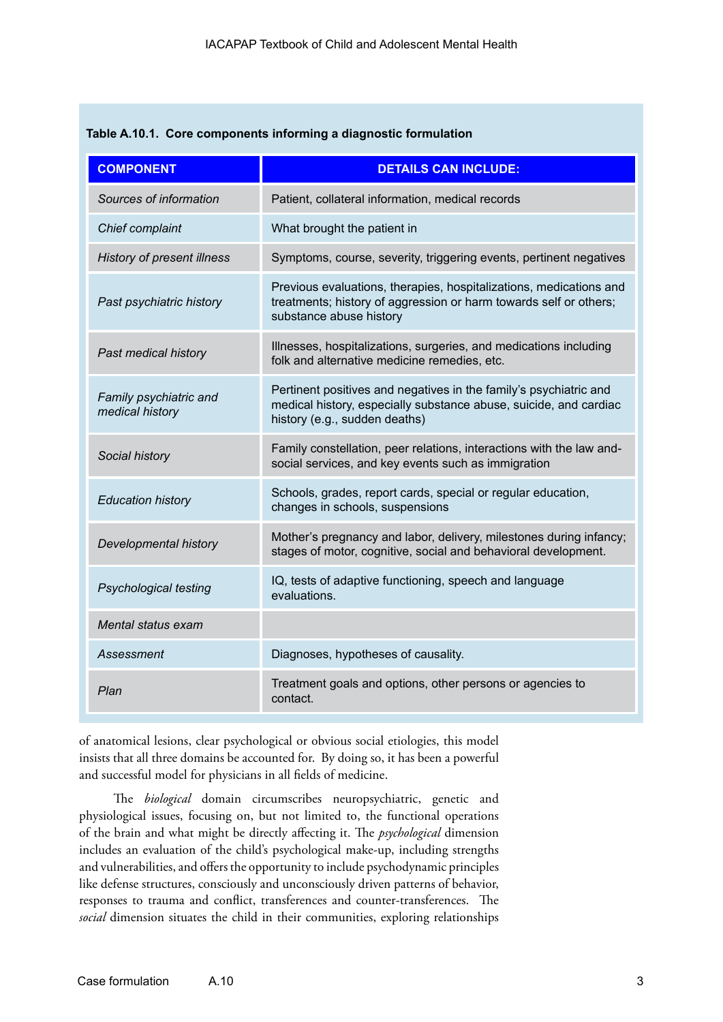| <b>COMPONENT</b>                          | <b>DETAILS CAN INCLUDE:</b>                                                                                                                                             |  |
|-------------------------------------------|-------------------------------------------------------------------------------------------------------------------------------------------------------------------------|--|
| Sources of information                    | Patient, collateral information, medical records                                                                                                                        |  |
| Chief complaint                           | What brought the patient in                                                                                                                                             |  |
| <b>History of present illness</b>         | Symptoms, course, severity, triggering events, pertinent negatives                                                                                                      |  |
| Past psychiatric history                  | Previous evaluations, therapies, hospitalizations, medications and<br>treatments; history of aggression or harm towards self or others;<br>substance abuse history      |  |
| Past medical history                      | Illnesses, hospitalizations, surgeries, and medications including<br>folk and alternative medicine remedies, etc.                                                       |  |
| Family psychiatric and<br>medical history | Pertinent positives and negatives in the family's psychiatric and<br>medical history, especially substance abuse, suicide, and cardiac<br>history (e.g., sudden deaths) |  |
| Social history                            | Family constellation, peer relations, interactions with the law and-<br>social services, and key events such as immigration                                             |  |
| <b>Education history</b>                  | Schools, grades, report cards, special or regular education,<br>changes in schools, suspensions                                                                         |  |
| Developmental history                     | Mother's pregnancy and labor, delivery, milestones during infancy;<br>stages of motor, cognitive, social and behavioral development.                                    |  |
| <b>Psychological testing</b>              | IQ, tests of adaptive functioning, speech and language<br>evaluations.                                                                                                  |  |
| Mental status exam                        |                                                                                                                                                                         |  |
| Assessment                                | Diagnoses, hypotheses of causality.                                                                                                                                     |  |
| Plan                                      | Treatment goals and options, other persons or agencies to<br>contact.                                                                                                   |  |

| Table A.10.1. Core components informing a diagnostic formulation |  |
|------------------------------------------------------------------|--|
|------------------------------------------------------------------|--|

of anatomical lesions, clear psychological or obvious social etiologies, this model insists that all three domains be accounted for. By doing so, it has been a powerful and successful model for physicians in all fields of medicine.

The *biological* domain circumscribes neuropsychiatric, genetic and physiological issues, focusing on, but not limited to, the functional operations of the brain and what might be directly affecting it. The *psychological* dimension includes an evaluation of the child's psychological make-up, including strengths and vulnerabilities, and offers the opportunity to include psychodynamic principles like defense structures, consciously and unconsciously driven patterns of behavior, responses to trauma and conflict, transferences and counter-transferences. The *social* dimension situates the child in their communities, exploring relationships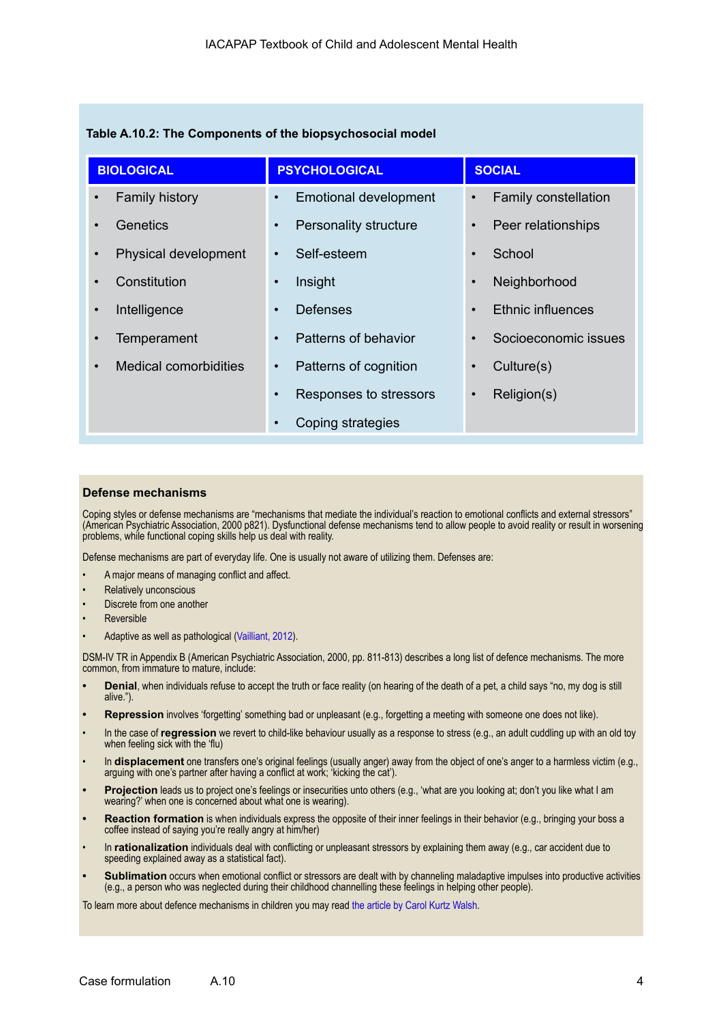| <b>BIOLOGICAL</b>     | <b>PSYCHOLOGICAL</b>                | <b>SOCIAL</b>               |
|-----------------------|-------------------------------------|-----------------------------|
| <b>Family history</b> | <b>Emotional development</b>        | <b>Family constellation</b> |
| $\bullet$             | $\bullet$                           | $\bullet$                   |
| Genetics              | <b>Personality structure</b>        | Peer relationships          |
| $\bullet$             | $\bullet$                           | $\bullet$                   |
| Physical development  | Self-esteem                         | School                      |
| $\bullet$             | $\bullet$                           | $\bullet$                   |
| Constitution          | Insight                             | Neighborhood                |
| $\bullet$             | $\bullet$                           | $\bullet$                   |
| Intelligence          | <b>Defenses</b>                     | Ethnic influences           |
| $\bullet$             | $\bullet$                           | $\bullet$                   |
| <b>Temperament</b>    | Patterns of behavior                | Socioeconomic issues        |
| $\bullet$             | $\bullet$                           | $\bullet$                   |
| Medical comorbidities | Patterns of cognition               | Culture(s)                  |
| $\bullet$             | $\bullet$                           | $\bullet$                   |
|                       | Responses to stressors<br>$\bullet$ | Religion(s)<br>$\bullet$    |
|                       | Coping strategies<br>$\bullet$      |                             |

#### **Defense mechanisms**

Coping styles or defense mechanisms are "mechanisms that mediate the individual's reaction to emotional conflicts and external stressors" (American Psychiatric Association, 2000 p821). Dysfunctional defense mechanisms tend to allow people to avoid reality or result in worsening problems, while functional coping skills help us deal with reality.

Defense mechanisms are part of everyday life. One is usually not aware of utilizing them. Defenses are:

- A major means of managing conflict and affect.
- Relatively unconscious
- Discrete from one another
- **Reversible**
- Adaptive as well as pathological [\(Vailliant, 2012\)](http://psychiatryonline.org/data/Journals/AJP/24848/885.pdf).

DSM-IV TR in Appendix B (American Psychiatric Association, 2000, pp. 811-813) describes a long list of defence mechanisms. The more common, from immature to mature, include:

- **• Denial**, when individuals refuse to accept the truth or face reality (on hearing of the death of a pet, a child says "no, my dog is still alive.").
- **• Repression** involves 'forgetting' something bad or unpleasant (e.g., forgetting a meeting with someone one does not like).
- In the case of **regression** we revert to child-like behaviour usually as a response to stress (e.g., an adult cuddling up with an old toy when feeling sick with the 'flu)
- In **displacement** one transfers one's original feelings (usually anger) away from the object of one's anger to a harmless victim (e.g., arguing with one's partner after having a conflict at work; 'kicking the cat').
- **• Projection** leads us to project one's feelings or insecurities unto others (e.g., 'what are you looking at; don't you like what I am wearing?' when one is concerned about what one is wearing).
- **• Reaction formation** is when individuals express the opposite of their inner feelings in their behavior (e.g., bringing your boss a coffee instead of saying you're really angry at him/her)
- In **rationalization** individuals deal with conflicting or unpleasant stressors by explaining them away (e.g., car accident due to speeding explained away as a statistical fact).
- **• Sublimation** occurs when emotional conflict or stressors are dealt with by channeling maladaptive impulses into productive activities (e.g., a person who was neglected during their childhood channelling these feelings in helping other people).

To learn more about defence mechanisms in children you may read [the article by Carol Kurtz Walsh](http://www.ckwalsh.com/pdf/COPING_MECHANISMS.pdf).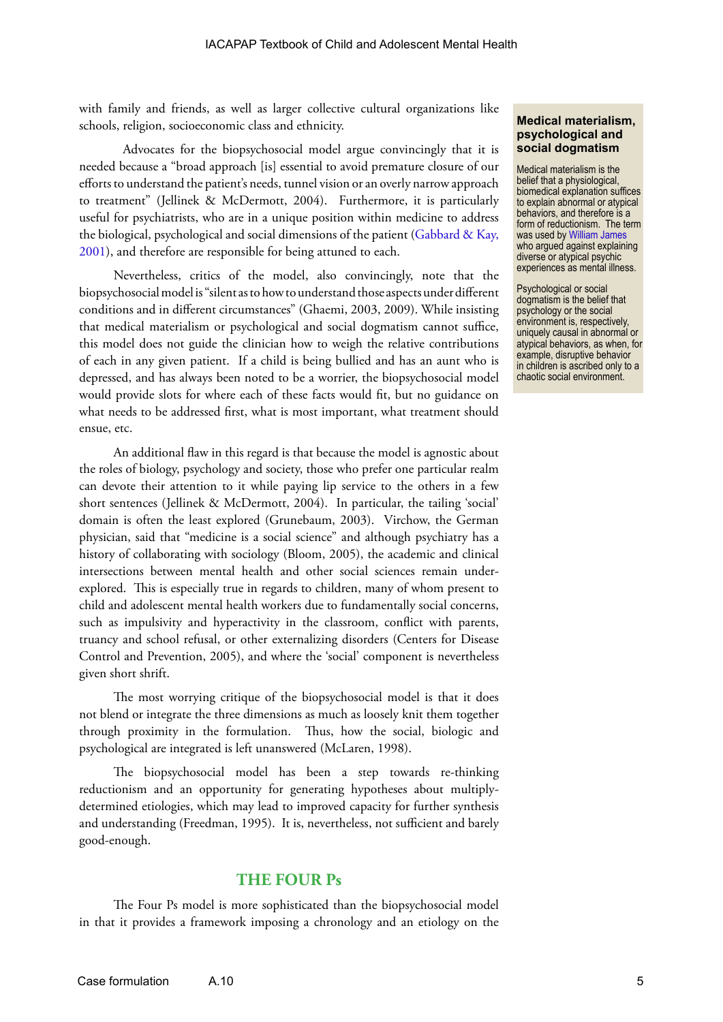with family and friends, as well as larger collective cultural organizations like schools, religion, socioeconomic class and ethnicity.

Advocates for the biopsychosocial model argue convincingly that it is needed because a "broad approach [is] essential to avoid premature closure of our efforts to understand the patient's needs, tunnel vision or an overly narrow approach to treatment" (Jellinek & McDermott, 2004). Furthermore, it is particularly useful for psychiatrists, who are in a unique position within medicine to address the biological, psychological and social dimensions of the patient (Gabbard & Kay, [2001](http://journals.psychiatryonline.org/article.aspx?Volume=158&page=1956&journalID=13)), and therefore are responsible for being attuned to each.

Nevertheless, critics of the model, also convincingly, note that the biopsychosocial model is "silent as to how to understand those aspects under different conditions and in different circumstances" (Ghaemi, 2003, 2009). While insisting that medical materialism or psychological and social dogmatism cannot suffice, this model does not guide the clinician how to weigh the relative contributions of each in any given patient. If a child is being bullied and has an aunt who is depressed, and has always been noted to be a worrier, the biopsychosocial model would provide slots for where each of these facts would fit, but no guidance on what needs to be addressed first, what is most important, what treatment should ensue, etc.

An additional flaw in this regard is that because the model is agnostic about the roles of biology, psychology and society, those who prefer one particular realm can devote their attention to it while paying lip service to the others in a few short sentences (Jellinek & McDermott, 2004). In particular, the tailing 'social' domain is often the least explored (Grunebaum, 2003). Virchow, the German physician, said that "medicine is a social science" and although psychiatry has a history of collaborating with sociology (Bloom, 2005), the academic and clinical intersections between mental health and other social sciences remain underexplored. This is especially true in regards to children, many of whom present to child and adolescent mental health workers due to fundamentally social concerns, such as impulsivity and hyperactivity in the classroom, conflict with parents, truancy and school refusal, or other externalizing disorders (Centers for Disease Control and Prevention, 2005), and where the 'social' component is nevertheless given short shrift.

The most worrying critique of the biopsychosocial model is that it does not blend or integrate the three dimensions as much as loosely knit them together through proximity in the formulation. Thus, how the social, biologic and psychological are integrated is left unanswered (McLaren, 1998).

The biopsychosocial model has been a step towards re-thinking reductionism and an opportunity for generating hypotheses about multiplydetermined etiologies, which may lead to improved capacity for further synthesis and understanding (Freedman, 1995). It is, nevertheless, not sufficient and barely good-enough.

#### **THE FOUR Ps**

The Four Ps model is more sophisticated than the biopsychosocial model in that it provides a framework imposing a chronology and an etiology on the

#### **Medical materialism, psychological and social dogmatism**

Medical materialism is the belief that a physiological, biomedical explanation suffices to explain abnormal or atypical behaviors, and therefore is a form of reductionism. The term was used by [William James](http://en.wikipedia.org/wiki/The_Varieties_of_Religious_Experience) who argued against explaining diverse or atypical psychic experiences as mental illness.

Psychological or social dogmatism is the belief that psychology or the social environment is, respectively, uniquely causal in abnormal or atypical behaviors, as when, for example, disruptive behavior in children is ascribed only to a chaotic social environment.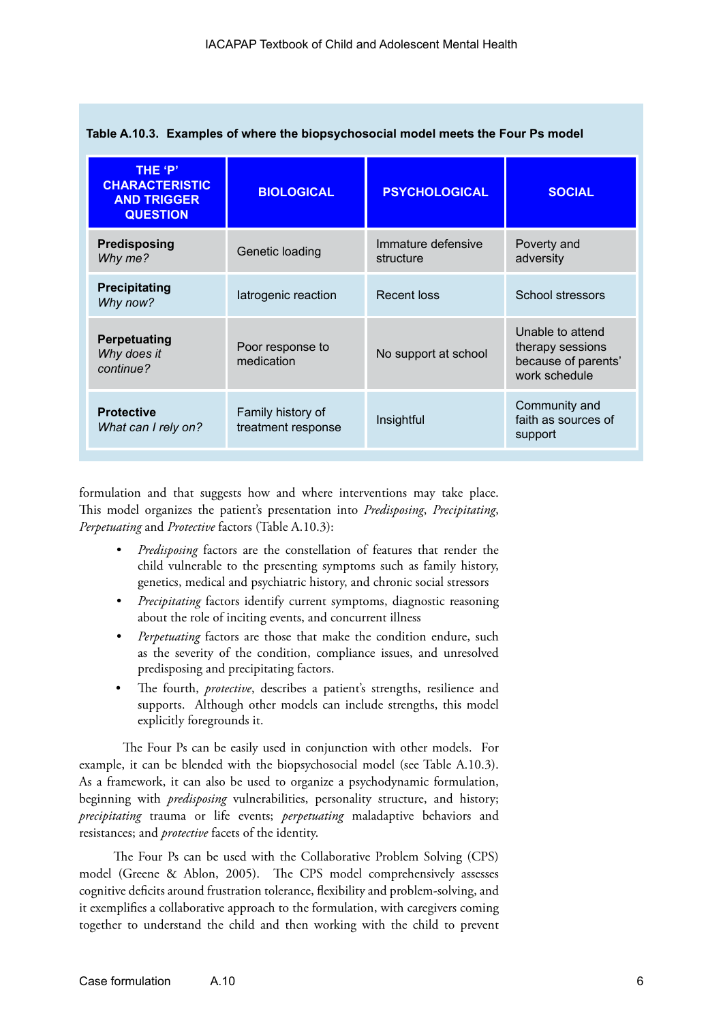| THE 'P'<br><b>CHARACTERISTIC</b><br><b>AND TRIGGER</b><br><b>QUESTION</b> | <b>BIOLOGICAL</b>                       | <b>PSYCHOLOGICAL</b>            | <b>SOCIAL</b>                                                                |
|---------------------------------------------------------------------------|-----------------------------------------|---------------------------------|------------------------------------------------------------------------------|
| Predisposing<br>Why me?                                                   | Genetic loading                         | Immature defensive<br>structure | Poverty and<br>adversity                                                     |
| <b>Precipitating</b><br>Why now?                                          | latrogenic reaction                     | <b>Recent loss</b>              | School stressors                                                             |
| Perpetuating<br>Why does it<br>continue?                                  | Poor response to<br>medication          | No support at school            | Unable to attend<br>therapy sessions<br>because of parents'<br>work schedule |
| <b>Protective</b><br>What can I rely on?                                  | Family history of<br>treatment response | Insightful                      | Community and<br>faith as sources of<br>support                              |

|  |  |  | Table A.10.3. Examples of where the biopsychosocial model meets the Four Ps model |  |  |
|--|--|--|-----------------------------------------------------------------------------------|--|--|
|--|--|--|-----------------------------------------------------------------------------------|--|--|

formulation and that suggests how and where interventions may take place. This model organizes the patient's presentation into *Predisposing*, *Precipitating*, *Perpetuating* and *Protective* factors (Table A.10.3):

- *• Predisposing* factors are the constellation of features that render the child vulnerable to the presenting symptoms such as family history, genetics, medical and psychiatric history, and chronic social stressors
- *• Precipitating* factors identify current symptoms, diagnostic reasoning about the role of inciting events, and concurrent illness
- *Perpetuating* factors are those that make the condition endure, such as the severity of the condition, compliance issues, and unresolved predisposing and precipitating factors.
- The fourth, *protective*, describes a patient's strengths, resilience and supports. Although other models can include strengths, this model explicitly foregrounds it.

The Four Ps can be easily used in conjunction with other models. For example, it can be blended with the biopsychosocial model (see Table A.10.3). As a framework, it can also be used to organize a psychodynamic formulation, beginning with *predisposing* vulnerabilities, personality structure, and history; *precipitating* trauma or life events; *perpetuating* maladaptive behaviors and resistances; and *protective* facets of the identity.

The Four Ps can be used with the Collaborative Problem Solving (CPS) model (Greene & Ablon, 2005). The CPS model comprehensively assesses cognitive deficits around frustration tolerance, flexibility and problem-solving, and it exemplifies a collaborative approach to the formulation, with caregivers coming together to understand the child and then working with the child to prevent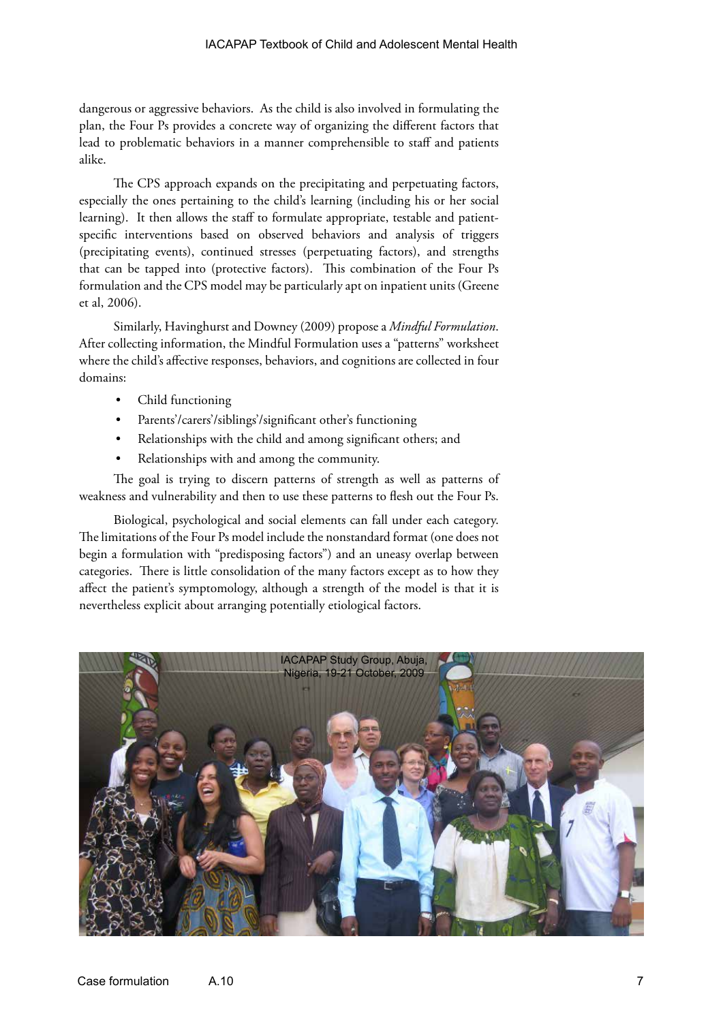dangerous or aggressive behaviors. As the child is also involved in formulating the plan, the Four Ps provides a concrete way of organizing the different factors that lead to problematic behaviors in a manner comprehensible to staff and patients alike.

The CPS approach expands on the precipitating and perpetuating factors, especially the ones pertaining to the child's learning (including his or her social learning). It then allows the staff to formulate appropriate, testable and patientspecific interventions based on observed behaviors and analysis of triggers (precipitating events), continued stresses (perpetuating factors), and strengths that can be tapped into (protective factors). This combination of the Four Ps formulation and the CPS model may be particularly apt on inpatient units (Greene et al, 2006).

Similarly, Havinghurst and Downey (2009) propose a *Mindful Formulation*. After collecting information, the Mindful Formulation uses a "patterns" worksheet where the child's affective responses, behaviors, and cognitions are collected in four domains:

- Child functioning
- Parents'/carers'/siblings'/significant other's functioning
- Relationships with the child and among significant others; and
- Relationships with and among the community.

The goal is trying to discern patterns of strength as well as patterns of weakness and vulnerability and then to use these patterns to flesh out the Four Ps.

Biological, psychological and social elements can fall under each category. The limitations of the Four Ps model include the nonstandard format (one does not begin a formulation with "predisposing factors") and an uneasy overlap between categories. There is little consolidation of the many factors except as to how they affect the patient's symptomology, although a strength of the model is that it is nevertheless explicit about arranging potentially etiological factors.

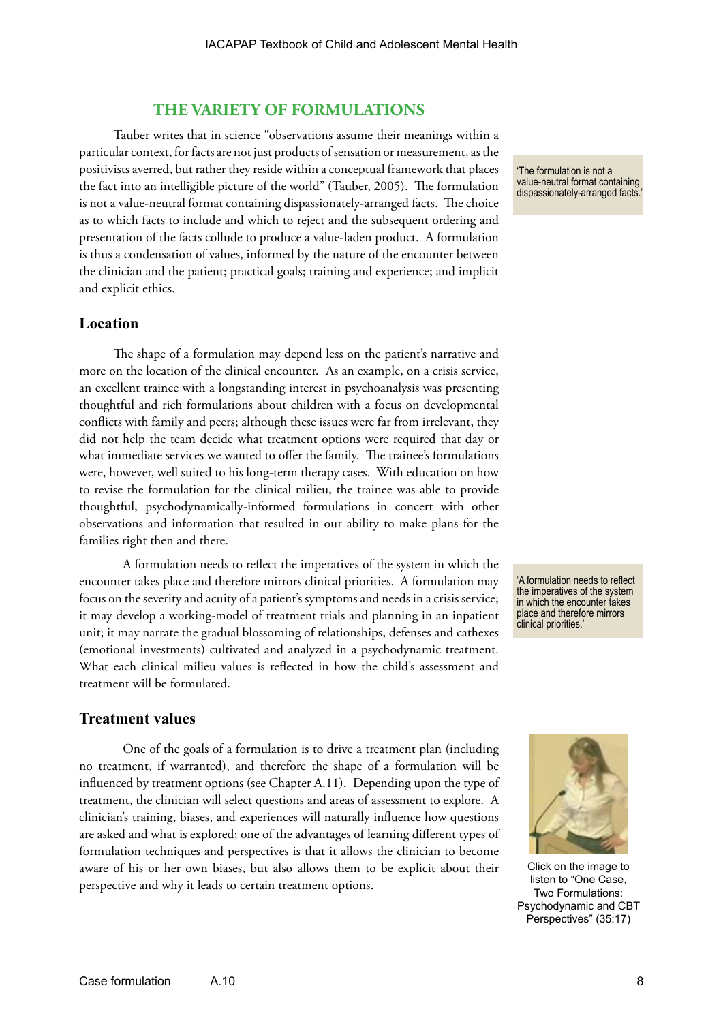#### **THE VARIETY OF FORMULATIONS**

Tauber writes that in science "observations assume their meanings within a particular context, for facts are not just products of sensation or measurement, as the positivists averred, but rather they reside within a conceptual framework that places the fact into an intelligible picture of the world" (Tauber, 2005). The formulation is not a value-neutral format containing dispassionately-arranged facts. The choice as to which facts to include and which to reject and the subsequent ordering and presentation of the facts collude to produce a value-laden product. A formulation is thus a condensation of values, informed by the nature of the encounter between the clinician and the patient; practical goals; training and experience; and implicit and explicit ethics.

#### **Location**

The shape of a formulation may depend less on the patient's narrative and more on the location of the clinical encounter. As an example, on a crisis service, an excellent trainee with a longstanding interest in psychoanalysis was presenting thoughtful and rich formulations about children with a focus on developmental conflicts with family and peers; although these issues were far from irrelevant, they did not help the team decide what treatment options were required that day or what immediate services we wanted to offer the family. The trainee's formulations were, however, well suited to his long-term therapy cases. With education on how to revise the formulation for the clinical milieu, the trainee was able to provide thoughtful, psychodynamically-informed formulations in concert with other observations and information that resulted in our ability to make plans for the families right then and there.

A formulation needs to reflect the imperatives of the system in which the encounter takes place and therefore mirrors clinical priorities. A formulation may focus on the severity and acuity of a patient's symptoms and needs in a crisis service; it may develop a working-model of treatment trials and planning in an inpatient unit; it may narrate the gradual blossoming of relationships, defenses and cathexes (emotional investments) cultivated and analyzed in a psychodynamic treatment. What each clinical milieu values is reflected in how the child's assessment and treatment will be formulated.

'A formulation needs to reflect the imperatives of the system in which the encounter takes place and therefore mirrors clinical priorities.'

#### **Treatment values**

One of the goals of a formulation is to drive a treatment plan (including no treatment, if warranted), and therefore the shape of a formulation will be influenced by treatment options (see Chapter A.11). Depending upon the type of treatment, the clinician will select questions and areas of assessment to explore. A clinician's training, biases, and experiences will naturally influence how questions are asked and what is explored; one of the advantages of learning different types of formulation techniques and perspectives is that it allows the clinician to become aware of his or her own biases, but also allows them to be explicit about their perspective and why it leads to certain treatment options.



'The formulation is not a value-neutral format containing dispassionately-arranged facts.'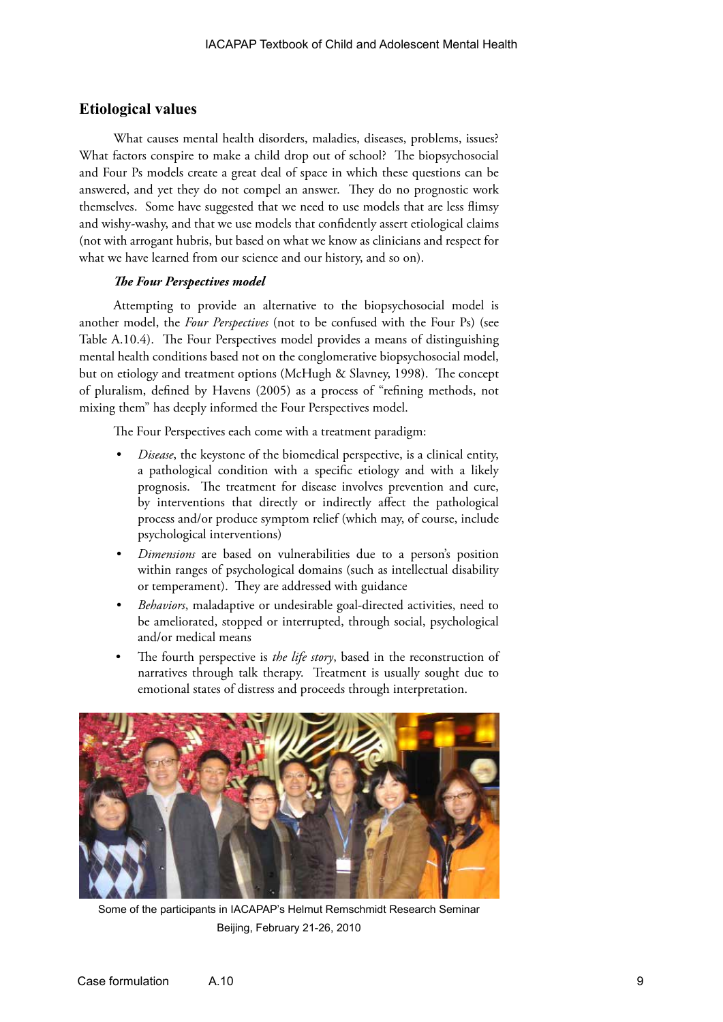#### **Etiological values**

What causes mental health disorders, maladies, diseases, problems, issues? What factors conspire to make a child drop out of school? The biopsychosocial and Four Ps models create a great deal of space in which these questions can be answered, and yet they do not compel an answer. They do no prognostic work themselves. Some have suggested that we need to use models that are less flimsy and wishy-washy, and that we use models that confidently assert etiological claims (not with arrogant hubris, but based on what we know as clinicians and respect for what we have learned from our science and our history, and so on).

#### *The Four Perspectives model*

Attempting to provide an alternative to the biopsychosocial model is another model, the *Four Perspectives* (not to be confused with the Four Ps) (see Table A.10.4). The Four Perspectives model provides a means of distinguishing mental health conditions based not on the conglomerative biopsychosocial model, but on etiology and treatment options (McHugh & Slavney, 1998). The concept of pluralism, defined by Havens (2005) as a process of "refining methods, not mixing them" has deeply informed the Four Perspectives model.

The Four Perspectives each come with a treatment paradigm:

- *Disease*, the keystone of the biomedical perspective, is a clinical entity, a pathological condition with a specific etiology and with a likely prognosis. The treatment for disease involves prevention and cure, by interventions that directly or indirectly affect the pathological process and/or produce symptom relief (which may, of course, include psychological interventions)
- *• Dimensions* are based on vulnerabilities due to a person's position within ranges of psychological domains (such as intellectual disability or temperament). They are addressed with guidance
- *• Behaviors*, maladaptive or undesirable goal-directed activities, need to be ameliorated, stopped or interrupted, through social, psychological and/or medical means
- The fourth perspective is *the life story*, based in the reconstruction of narratives through talk therapy. Treatment is usually sought due to emotional states of distress and proceeds through interpretation.



Some of the participants in IACAPAP's Helmut Remschmidt Research Seminar Beijing, February 21-26, 2010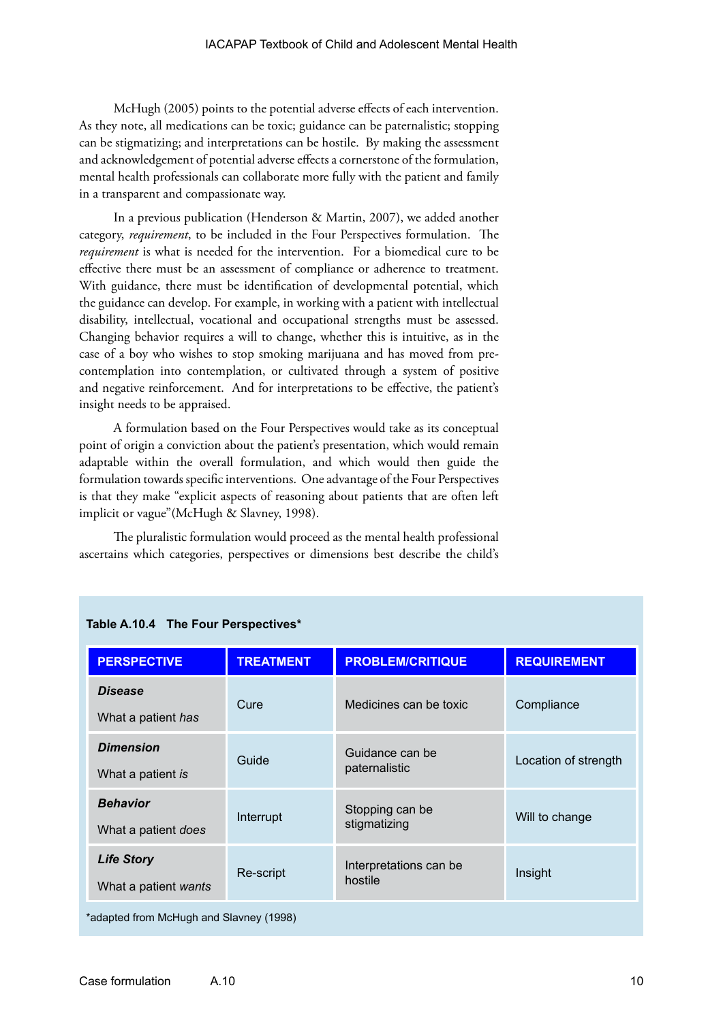McHugh (2005) points to the potential adverse effects of each intervention. As they note, all medications can be toxic; guidance can be paternalistic; stopping can be stigmatizing; and interpretations can be hostile. By making the assessment and acknowledgement of potential adverse effects a cornerstone of the formulation, mental health professionals can collaborate more fully with the patient and family in a transparent and compassionate way.

In a previous publication (Henderson & Martin, 2007), we added another category, *requirement*, to be included in the Four Perspectives formulation. The *requirement* is what is needed for the intervention. For a biomedical cure to be effective there must be an assessment of compliance or adherence to treatment. With guidance, there must be identification of developmental potential, which the guidance can develop. For example, in working with a patient with intellectual disability, intellectual, vocational and occupational strengths must be assessed. Changing behavior requires a will to change, whether this is intuitive, as in the case of a boy who wishes to stop smoking marijuana and has moved from precontemplation into contemplation, or cultivated through a system of positive and negative reinforcement. And for interpretations to be effective, the patient's insight needs to be appraised.

A formulation based on the Four Perspectives would take as its conceptual point of origin a conviction about the patient's presentation, which would remain adaptable within the overall formulation, and which would then guide the formulation towards specific interventions. One advantage of the Four Perspectives is that they make "explicit aspects of reasoning about patients that are often left implicit or vague"(McHugh & Slavney, 1998).

The pluralistic formulation would proceed as the mental health professional ascertains which categories, perspectives or dimensions best describe the child's

| <b>PERSPECTIVE</b>                        | <b>TREATMENT</b> | <b>PROBLEM/CRITIQUE</b>           | <b>REQUIREMENT</b>   |
|-------------------------------------------|------------------|-----------------------------------|----------------------|
| <b>Disease</b><br>What a patient has      | Cure             | Medicines can be toxic            | Compliance           |
| <b>Dimension</b><br>What a patient is     | Guide            | Guidance can be<br>paternalistic  | Location of strength |
| <b>Behavior</b><br>What a patient does    | Interrupt        | Stopping can be<br>stigmatizing   | Will to change       |
| <b>Life Story</b><br>What a patient wants | Re-script        | Interpretations can be<br>hostile | Insight              |
| *adapted from McHugh and Slavney (1998)   |                  |                                   |                      |

**Table A.10.4 The Four Perspectives\***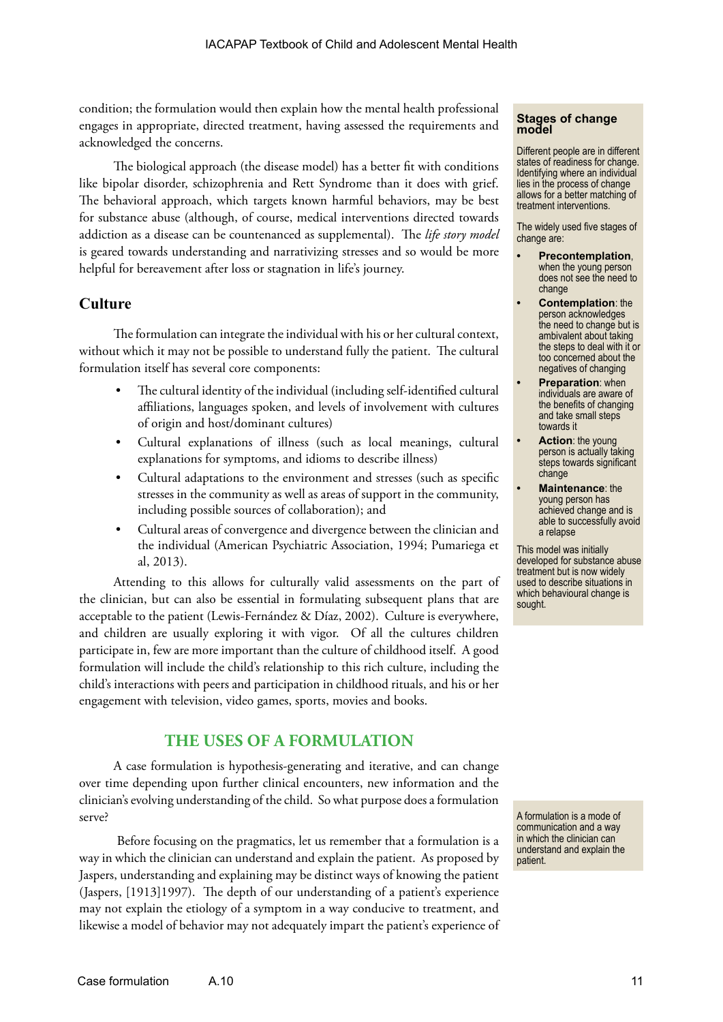condition; the formulation would then explain how the mental health professional engages in appropriate, directed treatment, having assessed the requirements and acknowledged the concerns.

The biological approach (the disease model) has a better fit with conditions like bipolar disorder, schizophrenia and Rett Syndrome than it does with grief. The behavioral approach, which targets known harmful behaviors, may be best for substance abuse (although, of course, medical interventions directed towards addiction as a disease can be countenanced as supplemental). The *life story model* is geared towards understanding and narrativizing stresses and so would be more helpful for bereavement after loss or stagnation in life's journey.

#### **Culture**

The formulation can integrate the individual with his or her cultural context, without which it may not be possible to understand fully the patient. The cultural formulation itself has several core components:

- The cultural identity of the individual (including self-identified cultural affiliations, languages spoken, and levels of involvement with cultures of origin and host/dominant cultures)
- Cultural explanations of illness (such as local meanings, cultural explanations for symptoms, and idioms to describe illness)
- Cultural adaptations to the environment and stresses (such as specific stresses in the community as well as areas of support in the community, including possible sources of collaboration); and
- Cultural areas of convergence and divergence between the clinician and the individual (American Psychiatric Association, 1994; Pumariega et al, 2013).

Attending to this allows for culturally valid assessments on the part of the clinician, but can also be essential in formulating subsequent plans that are acceptable to the patient (Lewis-Fernández & Díaz, 2002). Culture is everywhere, and children are usually exploring it with vigor. Of all the cultures children participate in, few are more important than the culture of childhood itself. A good formulation will include the child's relationship to this rich culture, including the child's interactions with peers and participation in childhood rituals, and his or her engagement with television, video games, sports, movies and books.

#### **THE USES OF A FORMULATION**

A case formulation is hypothesis-generating and iterative, and can change over time depending upon further clinical encounters, new information and the clinician's evolving understanding of the child. So what purpose does a formulation serve?

 Before focusing on the pragmatics, let us remember that a formulation is a way in which the clinician can understand and explain the patient. As proposed by Jaspers, understanding and explaining may be distinct ways of knowing the patient (Jaspers, [1913]1997). The depth of our understanding of a patient's experience may not explain the etiology of a symptom in a way conducive to treatment, and likewise a model of behavior may not adequately impart the patient's experience of

#### **Stages of change model**

Different people are in different states of readiness for change. Identifying where an individual lies in the process of change allows for a better matching of treatment interventions.

The widely used five stages of change are:

- **• Precontemplation**, when the young person does not see the need to change
- **• Contemplation**: the person acknowledges the need to change but is ambivalent about taking the steps to deal with it or too concerned about the negatives of changing
- **• Preparation**: when individuals are aware of the benefits of changing and take small steps towards it
- **• Action**: the young person is actually taking steps towards significant change
- **• Maintenance**: the young person has achieved change and is able to successfully avoid a relapse

This model was initially developed for substance abuse treatment but is now widely used to describe situations in which behavioural change is sought.

A formulation is a mode of communication and a way in which the clinician can understand and explain the patient.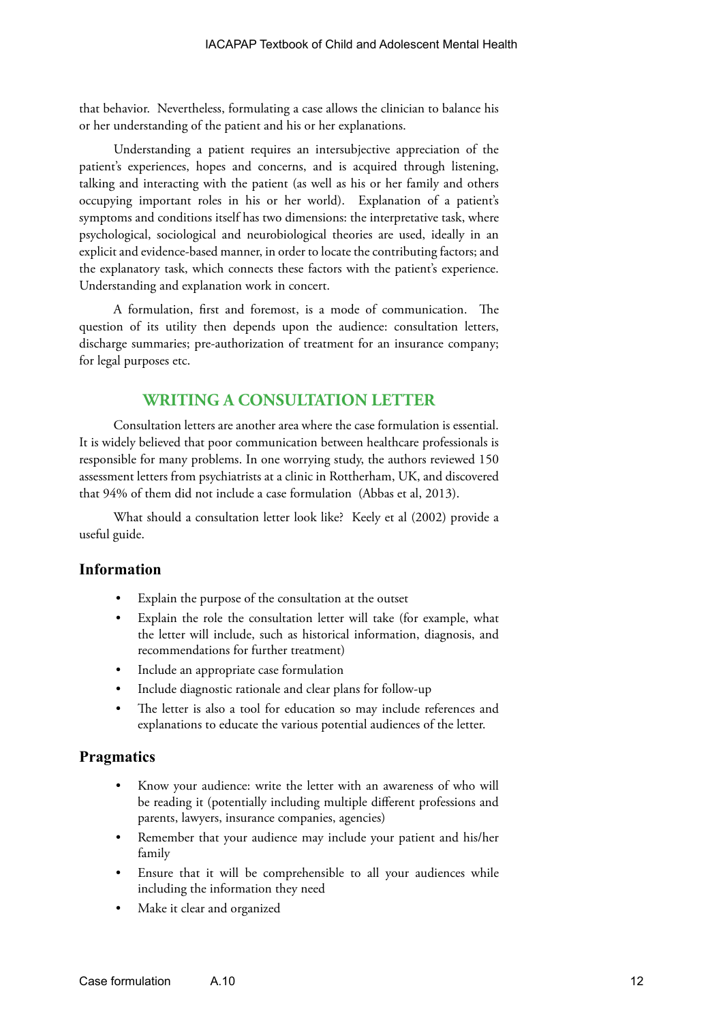that behavior. Nevertheless, formulating a case allows the clinician to balance his or her understanding of the patient and his or her explanations.

Understanding a patient requires an intersubjective appreciation of the patient's experiences, hopes and concerns, and is acquired through listening, talking and interacting with the patient (as well as his or her family and others occupying important roles in his or her world). Explanation of a patient's symptoms and conditions itself has two dimensions: the interpretative task, where psychological, sociological and neurobiological theories are used, ideally in an explicit and evidence-based manner, in order to locate the contributing factors; and the explanatory task, which connects these factors with the patient's experience. Understanding and explanation work in concert.

A formulation, first and foremost, is a mode of communication. The question of its utility then depends upon the audience: consultation letters, discharge summaries; pre-authorization of treatment for an insurance company; for legal purposes etc.

#### **WRITING A CONSULTATION LETTER**

Consultation letters are another area where the case formulation is essential. It is widely believed that poor communication between healthcare professionals is responsible for many problems. In one worrying study, the authors reviewed 150 assessment letters from psychiatrists at a clinic in Rottherham, UK, and discovered that 94% of them did not include a case formulation (Abbas et al, 2013).

What should a consultation letter look like? Keely et al (2002) provide a useful guide.

#### **Information**

- Explain the purpose of the consultation at the outset
- Explain the role the consultation letter will take (for example, what the letter will include, such as historical information, diagnosis, and recommendations for further treatment)
- Include an appropriate case formulation
- Include diagnostic rationale and clear plans for follow-up
- The letter is also a tool for education so may include references and explanations to educate the various potential audiences of the letter.

#### **Pragmatics**

- Know your audience: write the letter with an awareness of who will be reading it (potentially including multiple different professions and parents, lawyers, insurance companies, agencies)
- Remember that your audience may include your patient and his/her family
- Ensure that it will be comprehensible to all your audiences while including the information they need
- Make it clear and organized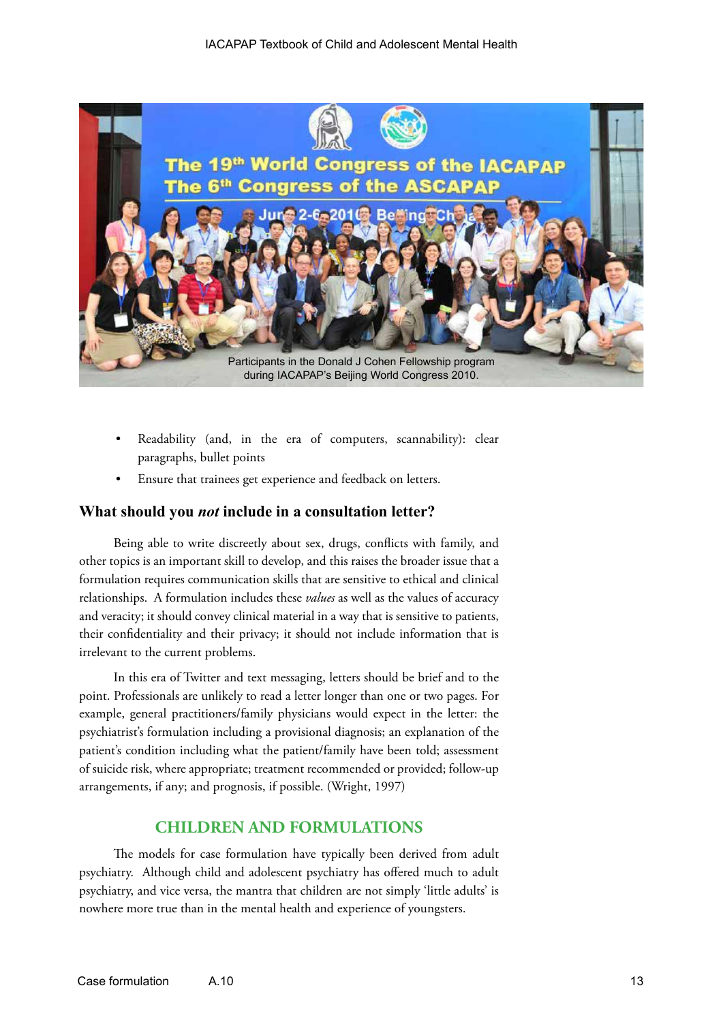

- Readability (and, in the era of computers, scannability): clear paragraphs, bullet points
- Ensure that trainees get experience and feedback on letters.

#### **What should you** *not* **include in a consultation letter?**

Being able to write discreetly about sex, drugs, conflicts with family, and other topics is an important skill to develop, and this raises the broader issue that a formulation requires communication skills that are sensitive to ethical and clinical relationships. A formulation includes these *values* as well as the values of accuracy and veracity; it should convey clinical material in a way that is sensitive to patients, their confidentiality and their privacy; it should not include information that is irrelevant to the current problems.

In this era of Twitter and text messaging, letters should be brief and to the point. Professionals are unlikely to read a letter longer than one or two pages. For example, general practitioners/family physicians would expect in the letter: the psychiatrist's formulation including a provisional diagnosis; an explanation of the patient's condition including what the patient/family have been told; assessment of suicide risk, where appropriate; treatment recommended or provided; follow-up arrangements, if any; and prognosis, if possible. (Wright, 1997)

#### **CHILDREN AND FORMULATIONS**

The models for case formulation have typically been derived from adult psychiatry. Although child and adolescent psychiatry has offered much to adult psychiatry, and vice versa, the mantra that children are not simply 'little adults' is nowhere more true than in the mental health and experience of youngsters.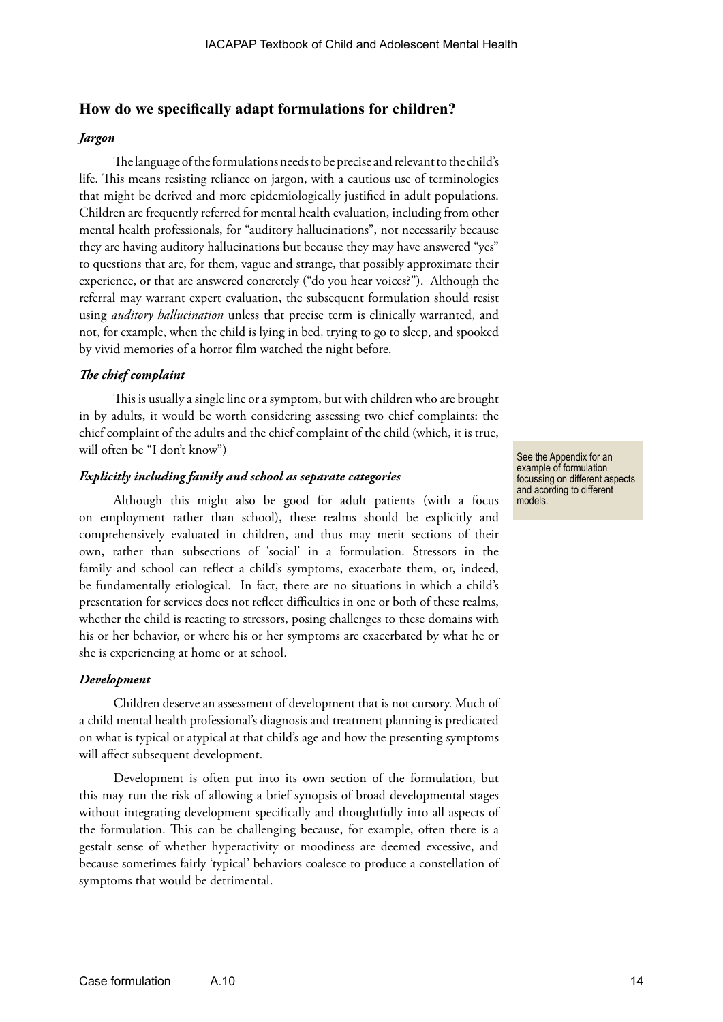#### **How do we specifically adapt formulations for children?**

#### *Jargon*

The language of the formulations needs to be precise and relevant to the child's life. This means resisting reliance on jargon, with a cautious use of terminologies that might be derived and more epidemiologically justified in adult populations. Children are frequently referred for mental health evaluation, including from other mental health professionals, for "auditory hallucinations", not necessarily because they are having auditory hallucinations but because they may have answered "yes" to questions that are, for them, vague and strange, that possibly approximate their experience, or that are answered concretely ("do you hear voices?"). Although the referral may warrant expert evaluation, the subsequent formulation should resist using *auditory hallucination* unless that precise term is clinically warranted, and not, for example, when the child is lying in bed, trying to go to sleep, and spooked by vivid memories of a horror film watched the night before.

#### *The chief complaint*

This is usually a single line or a symptom, but with children who are brought in by adults, it would be worth considering assessing two chief complaints: the chief complaint of the adults and the chief complaint of the child (which, it is true, will often be "I don't know")

#### *Explicitly including family and school as separate categories*

Although this might also be good for adult patients (with a focus on employment rather than school), these realms should be explicitly and comprehensively evaluated in children, and thus may merit sections of their own, rather than subsections of 'social' in a formulation. Stressors in the family and school can reflect a child's symptoms, exacerbate them, or, indeed, be fundamentally etiological. In fact, there are no situations in which a child's presentation for services does not reflect difficulties in one or both of these realms, whether the child is reacting to stressors, posing challenges to these domains with his or her behavior, or where his or her symptoms are exacerbated by what he or she is experiencing at home or at school.

#### *Development*

Children deserve an assessment of development that is not cursory. Much of a child mental health professional's diagnosis and treatment planning is predicated on what is typical or atypical at that child's age and how the presenting symptoms will affect subsequent development.

Development is often put into its own section of the formulation, but this may run the risk of allowing a brief synopsis of broad developmental stages without integrating development specifically and thoughtfully into all aspects of the formulation. This can be challenging because, for example, often there is a gestalt sense of whether hyperactivity or moodiness are deemed excessive, and because sometimes fairly 'typical' behaviors coalesce to produce a constellation of symptoms that would be detrimental.

See the Appendix for an example of formulation focussing on different aspects and acording to different models.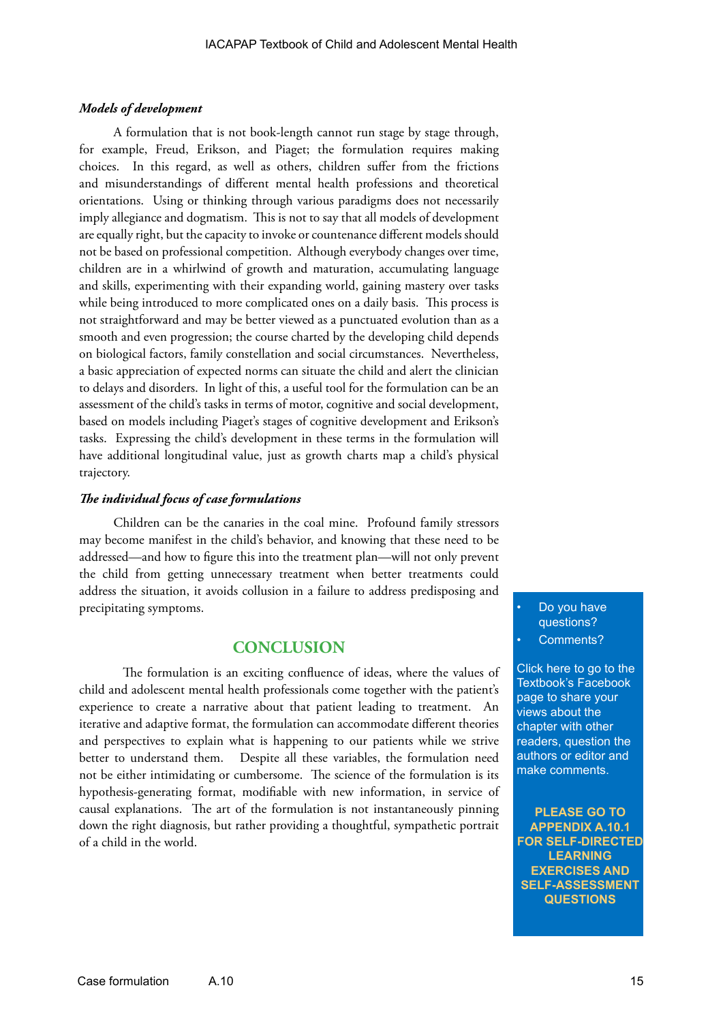#### *Models of development*

A formulation that is not book-length cannot run stage by stage through, for example, Freud, Erikson, and Piaget; the formulation requires making choices. In this regard, as well as others, children suffer from the frictions and misunderstandings of different mental health professions and theoretical orientations. Using or thinking through various paradigms does not necessarily imply allegiance and dogmatism. This is not to say that all models of development are equally right, but the capacity to invoke or countenance different models should not be based on professional competition. Although everybody changes over time, children are in a whirlwind of growth and maturation, accumulating language and skills, experimenting with their expanding world, gaining mastery over tasks while being introduced to more complicated ones on a daily basis. This process is not straightforward and may be better viewed as a punctuated evolution than as a smooth and even progression; the course charted by the developing child depends on biological factors, family constellation and social circumstances. Nevertheless, a basic appreciation of expected norms can situate the child and alert the clinician to delays and disorders. In light of this, a useful tool for the formulation can be an assessment of the child's tasks in terms of motor, cognitive and social development, based on models including Piaget's stages of cognitive development and Erikson's tasks. Expressing the child's development in these terms in the formulation will have additional longitudinal value, just as growth charts map a child's physical trajectory.

#### *The individual focus of case formulations*

Children can be the canaries in the coal mine. Profound family stressors may become manifest in the child's behavior, and knowing that these need to be addressed—and how to figure this into the treatment plan—will not only prevent the child from getting unnecessary treatment when better treatments could address the situation, it avoids collusion in a failure to address predisposing and precipitating symptoms.

#### **CONCLUSION**

The formulation is an exciting confluence of ideas, where the values of child and adolescent mental health professionals come together with the patient's experience to create a narrative about that patient leading to treatment. An iterative and adaptive format, the formulation can accommodate different theories and perspectives to explain what is happening to our patients while we strive better to understand them. Despite all these variables, the formulation need not be either intimidating or cumbersome. The science of the formulation is its hypothesis-generating format, modifiable with new information, in service of causal explanations. The art of the formulation is not instantaneously pinning down the right diagnosis, but rather providing a thoughtful, sympathetic portrait of a child in the world.

Do you have questions? Comments?

Click here to go to the Textbook's Facebook page to share your views about the chapter with other readers, question the authors or editor and make comments.

**PLEASE GO TO APPENDIX A.10.1 [FOR SELF-DIRECTED](https://www.facebook.com/pages/IACAPAP-Textbook-of-Child-and-Adolescent-Mental-Health/249690448525378)  LEARNING EXERCISES AND SELF-ASSESSMENT QUESTIONS**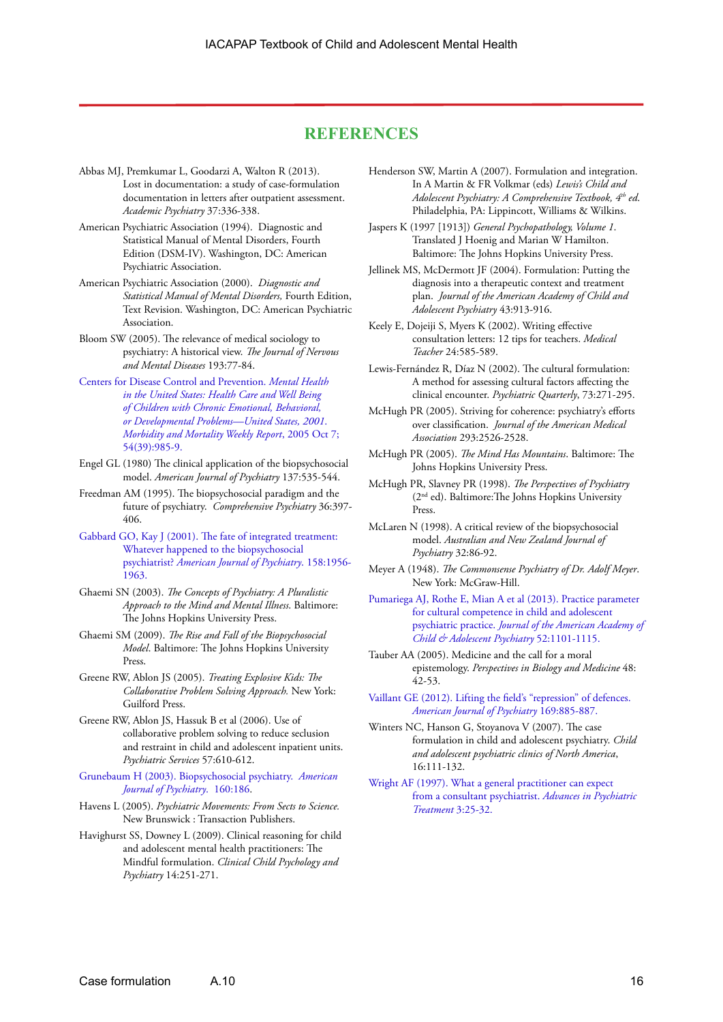#### **REFERENCES**

- Abbas MJ, Premkumar L, Goodarzi A, Walton R (2013). Lost in documentation: a study of case-formulation documentation in letters after outpatient assessment. *Academic Psychiatry* 37:336-338.
- American Psychiatric Association (1994). Diagnostic and Statistical Manual of Mental Disorders, Fourth Edition (DSM-IV). Washington, DC: American Psychiatric Association.
- American Psychiatric Association (2000). *Diagnostic and Statistical Manual of Mental Disorders,* Fourth Edition, Text Revision. Washington, DC: American Psychiatric Association.
- Bloom SW (2005). The relevance of medical sociology to psychiatry: A historical view. *The Journal of Nervous and Mental Diseases* 193:77-84.
- [Centers for Disease Control and Prevention.](http://www.cdc.gov/mmwr/preview/mmwrhtml/mm5439a3.htm) *Mental Health [in the United States: Health Care and Well Being](http://www.cdc.gov/mmwr/preview/mmwrhtml/mm5439a3.htm)  [of Children with Chronic Emotional, Behavioral,](http://www.cdc.gov/mmwr/preview/mmwrhtml/mm5439a3.htm)  [or Developmental Problems—United States, 2001](http://www.cdc.gov/mmwr/preview/mmwrhtml/mm5439a3.htm)*. *[Morbidity and Mortality Weekly Report](http://www.cdc.gov/mmwr/preview/mmwrhtml/mm5439a3.htm)*, 2005 Oct 7; [54\(39\):985-9.](http://www.cdc.gov/mmwr/preview/mmwrhtml/mm5439a3.htm)
- Engel GL (1980) The clinical application of the biopsychosocial model. *American Journal of Psychiatry* 137:535-544.
- Freedman AM (1995). The biopsychosocial paradigm and the future of psychiatry. *Comprehensive Psychiatry* 36:397- 406.
- [Gabbard GO, Kay J \(2001\). The fate of integrated treatment:](http://journals.psychiatryonline.org/article.aspx?Volume=158&page=1956&journalID=13)  [Whatever happened to the biopsychosocial](http://journals.psychiatryonline.org/article.aspx?Volume=158&page=1956&journalID=13)  psychiatrist? *[American Journal of Psychiatry](http://journals.psychiatryonline.org/article.aspx?Volume=158&page=1956&journalID=13)*. 158:1956- [1963.](http://journals.psychiatryonline.org/article.aspx?Volume=158&page=1956&journalID=13)
- Ghaemi SN (2003). *The Concepts of Psychiatry: A Pluralistic Approach to the Mind and Mental Illness*. Baltimore: The Johns Hopkins University Press.
- Ghaemi SM (2009). *The Rise and Fall of the Biopsychosocial Model*. Baltimore: The Johns Hopkins University Press.
- Greene RW, Ablon JS (2005). *Treating Explosive Kids: The Collaborative Problem Solving Approach.* New York: Guilford Press.
- Greene RW, Ablon JS, Hassuk B et al (2006). Use of collaborative problem solving to reduce seclusion and restraint in child and adolescent inpatient units. *Psychiatric Services* 57:610-612.

[Grunebaum H \(2003\). Biopsychosocial psychiatry.](http://journals.psychiatryonline.org/article.aspx?articleid=175984) *American [Journal of Psychiatry](http://journals.psychiatryonline.org/article.aspx?articleid=175984)*. 160:186.

- Havens L (2005). *Psychiatric Movements: From Sects to Science.* New Brunswick : Transaction Publishers.
- Havighurst SS, Downey L (2009). Clinical reasoning for child and adolescent mental health practitioners: The Mindful formulation. *Clinical Child Psychology and Psychiatry* 14:251-271.
- Henderson SW, Martin A (2007). Formulation and integration. In A Martin & FR Volkmar (eds) *Lewis's Child and Adolescent Psychiatry: A Comprehensive Textbook, 4th ed*. Philadelphia, PA: Lippincott, Williams & Wilkins.
- Jaspers K (1997 [1913]) *General Psychopathology, Volume 1*. Translated J Hoenig and Marian W Hamilton. Baltimore: The Johns Hopkins University Press.
- Jellinek MS, McDermott JF (2004). Formulation: Putting the diagnosis into a therapeutic context and treatment plan. *Journal of the American Academy of Child and Adolescent Psychiatry* 43:913-916.
- Keely E, Dojeiji S, Myers K (2002). Writing effective consultation letters: 12 tips for teachers. *Medical Teacher* 24:585-589.
- Lewis-Fernández R, Díaz N (2002). The cultural formulation: A method for assessing cultural factors affecting the clinical encounter. *Psychiatric Quarterly*, 73:271-295.
- McHugh PR (2005). Striving for coherence: psychiatry's efforts over classification. *Journal of the American Medical Association* 293:2526-2528.
- McHugh PR (2005). *The Mind Has Mountains*. Baltimore: The Johns Hopkins University Press.
- McHugh PR, Slavney PR (1998). *The Perspectives of Psychiatry* (2nd ed). Baltimore:The Johns Hopkins University Press.
- McLaren N (1998). A critical review of the biopsychosocial model. *Australian and New Zealand Journal of Psychiatry* 32:86-92.
- Meyer A (1948). *The Commonsense Psychiatry of Dr. Adolf Meyer*. New York: McGraw-Hill.
- [Pumariega AJ, Rothe E, Mian A et al \(2013\). Practice parameter](http://download.journals.elsevierhealth.com/pdfs/journals/0890-8567/PIIS0890856713004796.pdf)  [for cultural competence in child and adolescent](http://download.journals.elsevierhealth.com/pdfs/journals/0890-8567/PIIS0890856713004796.pdf)  psychiatric practice. *[Journal of the American Academy of](http://download.journals.elsevierhealth.com/pdfs/journals/0890-8567/PIIS0890856713004796.pdf)  [Child & Adolescent Psychiatry](http://download.journals.elsevierhealth.com/pdfs/journals/0890-8567/PIIS0890856713004796.pdf)* 52:1101-1115.
- Tauber AA (2005). Medicine and the call for a moral epistemology. *Perspectives in Biology and Medicine* 48: 42-53.
- [Vaillant GE \(2012\). Lifting the field's "repression" of defences.](http://psychiatryonline.org/data/Journals/AJP/24848/885.pdf)  *[American Journal of Psychiatry](http://psychiatryonline.org/data/Journals/AJP/24848/885.pdf)* 169:885-887.
- Winters NC, Hanson G, Stoyanova V (2007). The case formulation in child and adolescent psychiatry. *Child and adolescent psychiatric clinics of North America*, 16:111-132.
- [Wright AF \(1997\). What a general practitioner can expect](http://apt.rcpsych.org/content/3/1/25.full.pdf)  [from a consultant psychiatrist.](http://apt.rcpsych.org/content/3/1/25.full.pdf) *Advances in Psychiatric [Treatment](http://apt.rcpsych.org/content/3/1/25.full.pdf)* 3:25-32.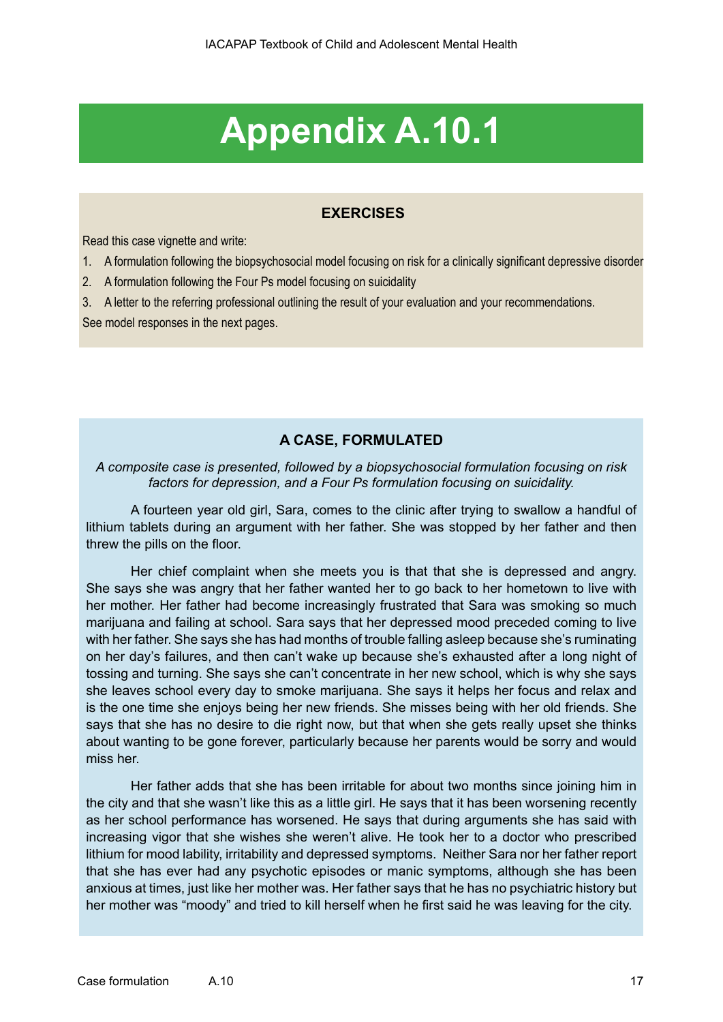# **Appendix A.10.1**

#### **EXERCISES**

Read this case vignette and write:

- 1. A formulation following the biopsychosocial model focusing on risk for a clinically significant depressive disorder
- 2. A formulation following the Four Ps model focusing on suicidality
- 3. A letter to the referring professional outlining the result of your evaluation and your recommendations.

See model responses in the next pages.

#### **A CASE, FORMULATED**

#### *A composite case is presented, followed by a biopsychosocial formulation focusing on risk factors for depression, and a Four Ps formulation focusing on suicidality.*

A fourteen year old girl, Sara, comes to the clinic after trying to swallow a handful of lithium tablets during an argument with her father. She was stopped by her father and then threw the pills on the floor.

Her chief complaint when she meets you is that that she is depressed and angry. She says she was angry that her father wanted her to go back to her hometown to live with her mother. Her father had become increasingly frustrated that Sara was smoking so much marijuana and failing at school. Sara says that her depressed mood preceded coming to live with her father. She says she has had months of trouble falling asleep because she's ruminating on her day's failures, and then can't wake up because she's exhausted after a long night of tossing and turning. She says she can't concentrate in her new school, which is why she says she leaves school every day to smoke marijuana. She says it helps her focus and relax and is the one time she enjoys being her new friends. She misses being with her old friends. She says that she has no desire to die right now, but that when she gets really upset she thinks about wanting to be gone forever, particularly because her parents would be sorry and would miss her.

Her father adds that she has been irritable for about two months since joining him in the city and that she wasn't like this as a little girl. He says that it has been worsening recently as her school performance has worsened. He says that during arguments she has said with increasing vigor that she wishes she weren't alive. He took her to a doctor who prescribed lithium for mood lability, irritability and depressed symptoms. Neither Sara nor her father report that she has ever had any psychotic episodes or manic symptoms, although she has been anxious at times, just like her mother was. Her father says that he has no psychiatric history but her mother was "moody" and tried to kill herself when he first said he was leaving for the city.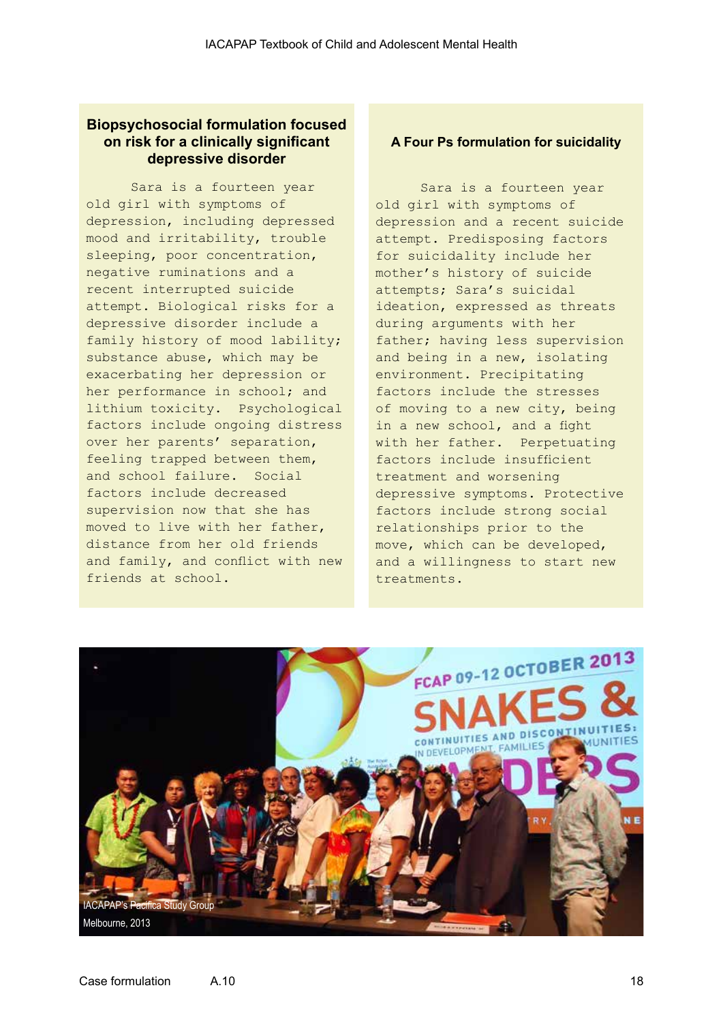#### **Biopsychosocial formulation focused on risk for a clinically significant depressive disorder**

Sara is a fourteen year old girl with symptoms of depression, including depressed mood and irritability, trouble sleeping, poor concentration, negative ruminations and a recent interrupted suicide attempt. Biological risks for a depressive disorder include a family history of mood lability; substance abuse, which may be exacerbating her depression or her performance in school; and lithium toxicity. Psychological factors include ongoing distress over her parents' separation, feeling trapped between them, and school failure. Social factors include decreased supervision now that she has moved to live with her father, distance from her old friends and family, and conflict with new friends at school.

#### **A Four Ps formulation for suicidality**

Sara is a fourteen year old girl with symptoms of depression and a recent suicide attempt. Predisposing factors for suicidality include her mother's history of suicide attempts; Sara's suicidal ideation, expressed as threats during arguments with her father; having less supervision and being in a new, isolating environment. Precipitating factors include the stresses of moving to a new city, being in a new school, and a fight with her father. Perpetuating factors include insufficient treatment and worsening depressive symptoms. Protective factors include strong social relationships prior to the move, which can be developed, and a willingness to start new treatments.

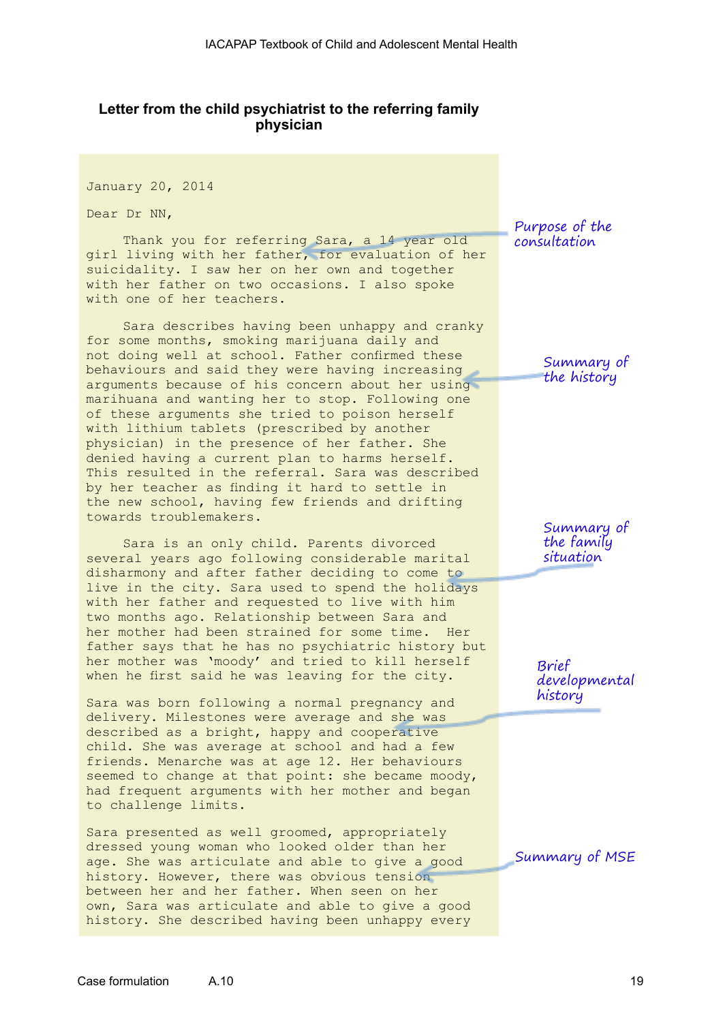#### **Letter from the child psychiatrist to the referring family physician**

January 20, 2014

Dear Dr NN,

Thank you for referring Sara, a 14 year old girl living with her father, for evaluation of her suicidality. I saw her on her own and together with her father on two occasions. I also spoke with one of her teachers.

Sara describes having been unhappy and cranky for some months, smoking marijuana daily and not doing well at school. Father confirmed these behaviours and said they were having increasing arguments because of his concern about her using marihuana and wanting her to stop. Following one of these arguments she tried to poison herself with lithium tablets (prescribed by another physician) in the presence of her father. She denied having a current plan to harms herself. This resulted in the referral. Sara was described by her teacher as finding it hard to settle in the new school, having few friends and drifting towards troublemakers.

Sara is an only child. Parents divorced several years ago following considerable marital disharmony and after father deciding to come to live in the city. Sara used to spend the holidays with her father and requested to live with him two months ago. Relationship between Sara and her mother had been strained for some time. Her father says that he has no psychiatric history but her mother was 'moody' and tried to kill herself when he first said he was leaving for the city.

Sara was born following a normal pregnancy and delivery. Milestones were average and she was described as a bright, happy and cooperative child. She was average at school and had a few friends. Menarche was at age 12. Her behaviours seemed to change at that point: she became moody, had frequent arguments with her mother and began to challenge limits.

Sara presented as well groomed, appropriately dressed young woman who looked older than her age. She was articulate and able to give a good history. However, there was obvious tension between her and her father. When seen on her own, Sara was articulate and able to give a good history. She described having been unhappy every Purpose of the consultation

> Summary of the history

> Summary of the family situation

Brief developmental history

Summary of MSE